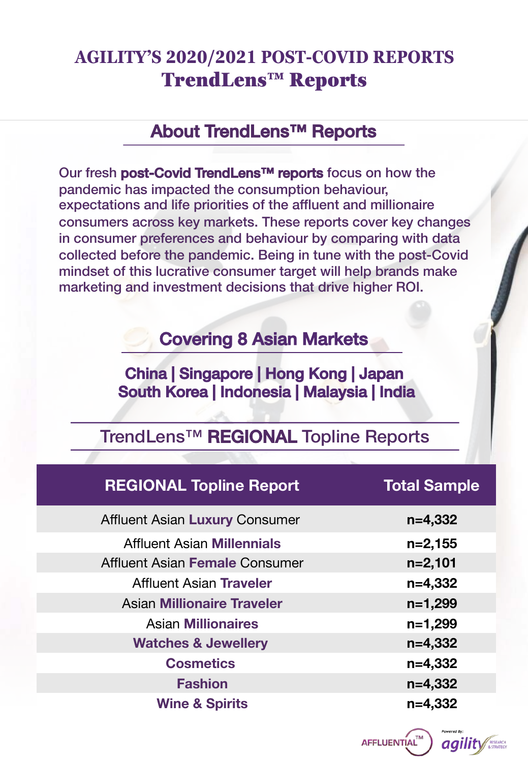## **AGILITY'S 2020/2021 POST-COVID REPORTS** TrendLens™ Reports

### About TrendLens™ Reports

Our fresh post-Covid TrendLens™ reports focus on how the pandemic has impacted the consumption behaviour, expectations and life priorities of the affluent and millionaire consumers across key markets. These reports cover key changes in consumer preferences and behaviour by comparing with data collected before the pandemic. Being in tune with the post-Covid mindset of this lucrative consumer target will help brands make marketing and investment decisions that drive higher ROI.

### Covering 8 Asian Markets

### China | Singapore | Hong Kong | Japan South Korea | Indonesia | Malaysia | India

### TrendLens™ REGIONAL Topline Reports

| <b>REGIONAL Topline Report</b>        | <b>Total Sample</b> |
|---------------------------------------|---------------------|
| <b>Affluent Asian Luxury Consumer</b> | $n=4,332$           |
| <b>Affluent Asian Millennials</b>     | $n=2,155$           |
| Affluent Asian Female Consumer        | $n=2,101$           |
| Affluent Asian Traveler               | $n=4,332$           |
| <b>Asian Millionaire Traveler</b>     | $n=1,299$           |
| <b>Asian Millionaires</b>             | $n=1,299$           |
| <b>Watches &amp; Jewellery</b>        | $n=4,332$           |
| <b>Cosmetics</b>                      | $n=4,332$           |
| <b>Fashion</b>                        | $n=4,332$           |
| <b>Wine &amp; Spirits</b>             | $n=4,332$           |

AFFLUENTIAL" *agility*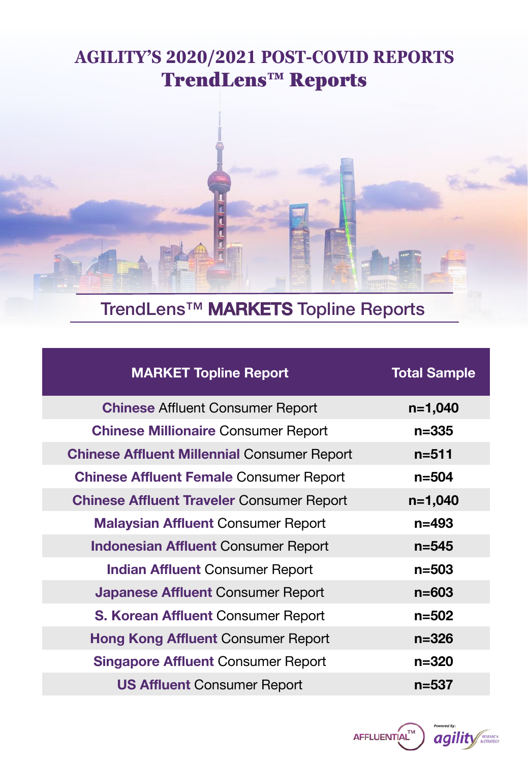## **AGILITY'S 2020/2021 POST-COVID REPORTS** TrendLens™ Reports



# TrendLens™ MARKETS Topline Reports

| <b>MARKET Topline Report</b>                       | <b>Total Sample</b> |
|----------------------------------------------------|---------------------|
| <b>Chinese Affluent Consumer Report</b>            | $n=1,040$           |
| <b>Chinese Millionaire Consumer Report</b>         | $n = 335$           |
| <b>Chinese Affluent Millennial Consumer Report</b> | $n = 511$           |
| <b>Chinese Affluent Female Consumer Report</b>     | $n = 504$           |
| <b>Chinese Affluent Traveler Consumer Report</b>   | $n=1,040$           |
| <b>Malaysian Affluent Consumer Report</b>          | $n = 493$           |
| <b>Indonesian Affluent Consumer Report</b>         | $n = 545$           |
| <b>Indian Affluent Consumer Report</b>             | $n = 503$           |
| <b>Japanese Affluent Consumer Report</b>           | $n = 603$           |
| <b>S. Korean Affluent Consumer Report</b>          | $n = 502$           |
| <b>Hong Kong Affluent Consumer Report</b>          | $n = 326$           |
| <b>Singapore Affluent Consumer Report</b>          | $n = 320$           |
| <b>US Affluent Consumer Report</b>                 | $n = 537$           |

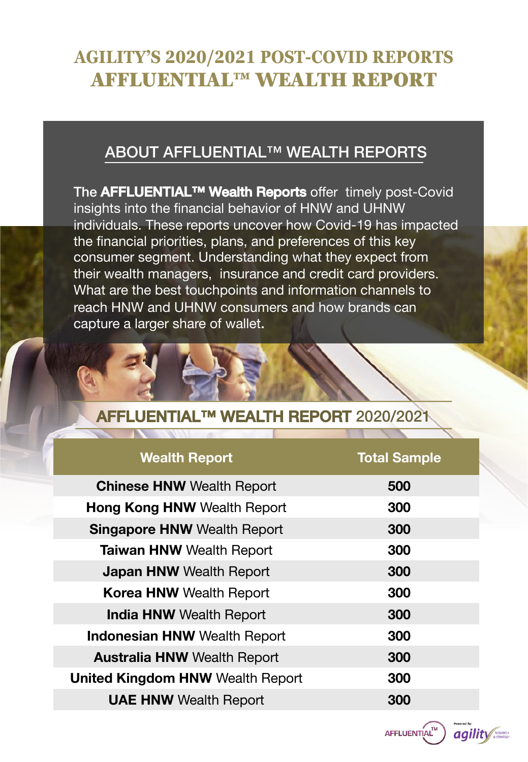## **AGILITY'S 2020/2021 POST-COVID REPORTS** AFFLUENTIAL™ WEALTH REPORT

### ABOUT AFFLUENTIAL™ WEALTH REPORTS

The **AFFLUENTIAL™ Wealth Reports** offer timely post-Covid insights into the financial behavior of HNW and UHNW individuals. These reports uncover how Covid-19 has impacted the financial priorities, plans, and preferences of this key consumer segment. Understanding what they expect from their wealth managers, insurance and credit card providers. What are the best touchpoints and information channels to reach HNW and UHNW consumers and how brands can capture a larger share of wallet.

### **ENTIAL™ WEALTH REPORT 2020/2021**

| <b>Wealth Report</b>                    | <b>Total Sample</b> |
|-----------------------------------------|---------------------|
| <b>Chinese HNW Wealth Report</b>        | 500                 |
| <b>Hong Kong HNW Wealth Report</b>      | 300                 |
| <b>Singapore HNW Wealth Report</b>      | 300                 |
| <b>Taiwan HNW Wealth Report</b>         | 300                 |
| <b>Japan HNW Wealth Report</b>          | 300                 |
| <b>Korea HNW Wealth Report</b>          | 300                 |
| <b>India HNW Wealth Report</b>          | 300                 |
| <b>Indonesian HNW Wealth Report</b>     | 300                 |
| <b>Australia HNW Wealth Report</b>      | 300                 |
| <b>United Kingdom HNW Wealth Report</b> | 300                 |
| <b>UAE HNW Wealth Report</b>            | 300                 |

AFFLUENTIAL<sup>TM</sup>